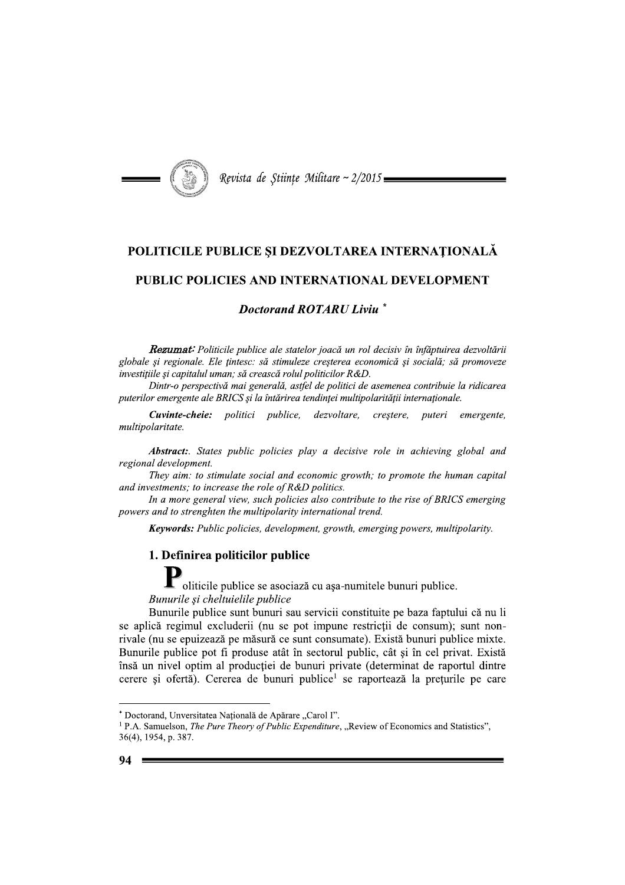

Revista de Stiințe Militare ~ 2/2015

# POLITICILE PUBLICE SI DEZVOLTAREA INTERNATIONALĂ

## PUBLIC POLICIES AND INTERNATIONAL DEVELOPMENT

## **Doctorand ROTARU Liviu**

Rezumat: Politicile publice ale statelor joacă un rol decisiv în înfăptuirea dezvoltării globale și regionale. Ele țintesc: să stimuleze creșterea economică și socială; să promoveze investițiile și capitalul uman; să crească rolul politicilor R&D.

Dintr-o perspectivă mai generală, astfel de politici de asemenea contribuie la ridicarea puterilor emergente ale BRICS si la întărirea tendinței multipolarității internaționale.

Cuvinte-cheie: politici publice, dezvoltare, creștere, puteri emergente, multipolaritate.

**Abstract:** States public policies play a decisive role in achieving global and regional development.

They aim: to stimulate social and economic growth; to promote the human capital and investments; to increase the role of R&D politics.

In a more general view, such policies also contribute to the rise of BRICS emerging powers and to strenghten the multipolarity international trend.

**Keywords:** Public policies, development, growth, emerging powers, multipolarity.

### 1. Definirea politicilor publice

Moliticile publice se asociază cu așa-numitele bunuri publice. Bunurile si cheltuielile publice

Bunurile publice sunt bunuri sau servicii constituite pe baza faptului că nu li se aplică regimul excluderii (nu se pot impune restricții de consum); sunt nonrivale (nu se epuizează pe măsură ce sunt consumate). Există bunuri publice mixte. Bunurile publice pot fi produse atât în sectorul public, cât și în cel privat. Există însă un nivel optim al producției de bunuri private (determinat de raportul dintre cerere și ofertă). Cererea de bunuri publice<sup>1</sup> se raportează la prețurile pe care

<sup>\*</sup> Doctorand, Unversitatea Națională de Apărare "Carol I".

<sup>&</sup>lt;sup>1</sup> P.A. Samuelson, *The Pure Theory of Public Expenditure*, "Review of Economics and Statistics", 36(4), 1954, p. 387.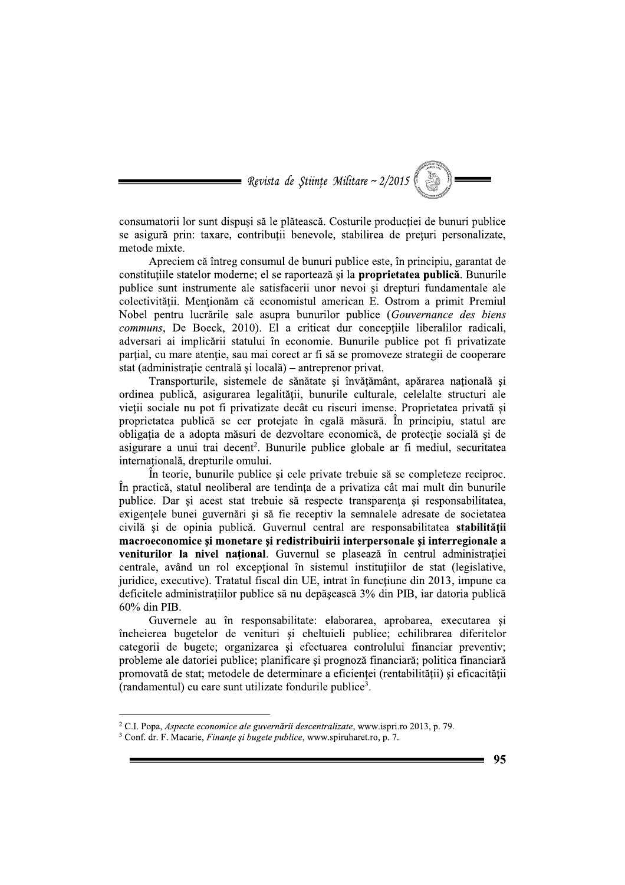= Revista de Stiințe Militare ~  $2/2015$ 

consumatorii lor sunt dispuși să le plătească. Costurile producției de bunuri publice se asigură prin: taxare, contribuții benevole, stabilirea de prețuri personalizate, metode mixte.

Apreciem că întreg consumul de bunuri publice este, în principiu, garantat de constitutiile statelor moderne: el se raportează și la **proprietatea publică**. Bunurile publice sunt instrumente ale satisfacerii unor nevoi și drepturi fundamentale ale colectivității. Menționăm că economistul american E. Ostrom a primit Premiul Nobel pentru lucrările sale asupra bunurilor publice (Gouvernance des biens communs, De Boeck, 2010). El a criticat dur conceptiile liberalilor radicali, adversari ai implicării statului în economie. Bunurile publice pot fi privatizate partial, cu mare atentie, sau mai corect ar fi să se promoveze strategii de cooperare stat (administrație centrală și locală) – antreprenor privat.

Transporturile, sistemele de sănătate și învătământ, apărarea natională și ordinea publică, asigurarea legalității, bunurile culturale, celelalte structuri ale vietii sociale nu pot fi privatizate decât cu riscuri imense. Proprietatea privată si proprietatea publică se cer protejate în egală măsură. În principiu, statul are obligatia de a adopta măsuri de dezvoltare economică, de protectie socială și de asigurare a unui trai decent<sup>2</sup>. Bunurile publice globale ar fi mediul, securitatea internatională, drepturile omului.

În teorie, bunurile publice și cele private trebuie să se completeze reciproc. În practică, statul neoliberal are tendința de a privatiza cât mai mult din bunurile publice. Dar si acest stat trebuie să respecte transparenta si responsabilitatea, exigentele bunei guvernări și să fie receptiv la semnalele adresate de societatea civilă și de opinia publică. Guvernul central are responsabilitatea stabilității macroeconomice și monetare și redistribuirii interpersonale și interregionale a veniturilor la nivel național. Guvernul se plasează în centrul administrației centrale, având un rol exceptional în sistemul instituțiilor de stat (legislative, juridice, executive). Tratatul fiscal din UE, intrat în funcțiune din 2013, impune ca deficitele administrațiilor publice să nu depășească 3% din PIB, iar datoria publică 60% din PIB.

Guvernele au în responsabilitate: elaborarea, aprobarea, executarea și încheierea bugetelor de venituri și cheltuieli publice; echilibrarea diferitelor categorii de bugete; organizarea și efectuarea controlului financiar preventiv; probleme ale datoriei publice; planificare și prognoză financiară; politica financiară promovată de stat: metodele de determinare a eficientei (rentabilității) și eficacității (randamentul) cu care sunt utilizate fondurile publice<sup>3</sup>.

95

<sup>&</sup>lt;sup>2</sup> C.I. Popa, Aspecte economice ale guvernării descentralizate, www.ispri.ro 2013, p. 79.

<sup>&</sup>lt;sup>3</sup> Conf. dr. F. Macarie, *Finante și bugete publice*, www.spiruharet.ro, p. 7.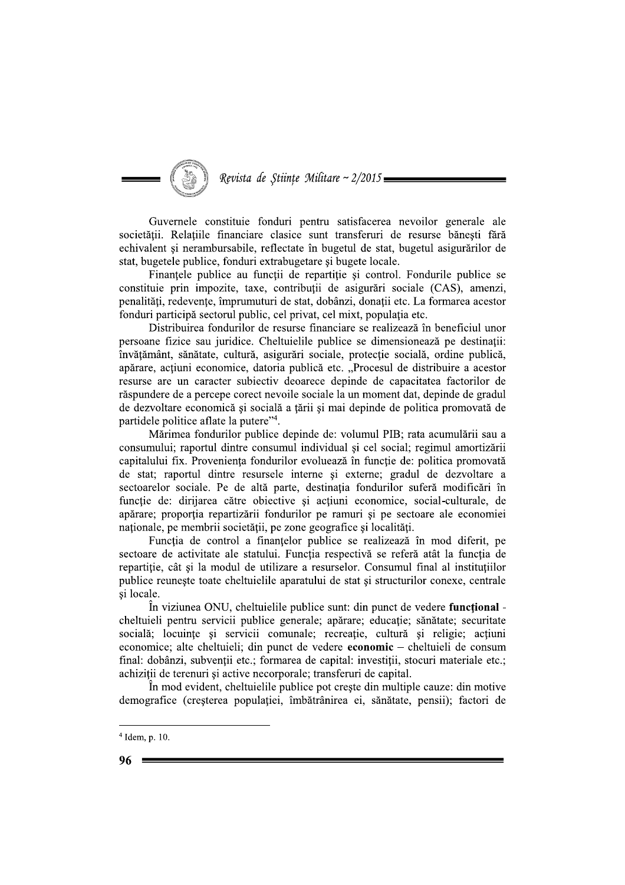## Revista de Stiințe Militare ~ 2/2015

Guvernele constituie fonduri pentru satisfacerea nevoilor generale ale societății. Relațiile financiare clasice sunt transferuri de resurse bănești fără echivalent si nerambursabile, reflectate în bugetul de stat, bugetul asigurărilor de stat, bugetele publice, fonduri extrabugetare și bugete locale.

Finantele publice au functii de repartitie si control. Fondurile publice se constituie prin impozite, taxe, contribuții de asigurări sociale (CAS), amenzi, penalități, redevențe, împrumuturi de stat, dobânzi, donații etc. La formarea acestor fonduri participă sectorul public, cel privat, cel mixt, populația etc.

Distribuirea fondurilor de resurse financiare se realizează în beneficiul unor persoane fizice sau juridice. Cheltuielile publice se dimensionează pe destinații: învățământ, sănătate, cultură, asigurări sociale, protecție socială, ordine publică, apărare, acțiuni economice, datoria publică etc. "Procesul de distribuire a acestor resurse are un caracter subjectiv deoarece depinde de capacitatea factorilor de răspundere de a percepe corect nevoile sociale la un moment dat, depinde de gradul de dezvoltare economică și socială a tării și mai depinde de politica promovată de partidele politice aflate la putere"<sup>4</sup>.

Mărimea fondurilor publice depinde de: volumul PIB; rata acumulării sau a consumului; raportul dintre consumul individual și cel social; regimul amortizării capitalului fix. Proveniența fondurilor evoluează în funcție de: politica promovată de stat; raportul dintre resursele interne și externe; gradul de dezvoltare a sectoarelor sociale. Pe de altă parte, destinația fondurilor suferă modificări în functie de: dirijarea către obiective și actiuni economice, social-culturale, de apărare; proportia repartizării fondurilor pe ramuri și pe sectoare ale economiei naționale, pe membrii societății, pe zone geografice și localități.

Funcția de control a finanțelor publice se realizează în mod diferit, pe sectoare de activitate ale statului. Funcția respectivă se referă atât la funcția de repartiție, cât și la modul de utilizare a resurselor. Consumul final al instituțiilor publice reunește toate cheltuielile aparatului de stat și structurilor conexe, centrale și locale.

In viziunea ONU, cheltuielile publice sunt: din punct de vedere functional cheltuieli pentru servicii publice generale; apărare; educație; sănătate; securitate socială; locuințe și servicii comunale; recreație, cultură și religie; acțiuni economice; alte cheltuieli; din punct de vedere economic – cheltuieli de consum final: dobânzi, subvenții etc.; formarea de capital: investiții, stocuri materiale etc.; achizitii de terenuri si active necorporale; transferuri de capital.

În mod evident, cheltuielile publice pot creste din multiple cauze: din motive demografice (cresterea populatiei, îmbătrânirea ei, sănătate, pensii); factori de

 $4$  Idem, p. 10.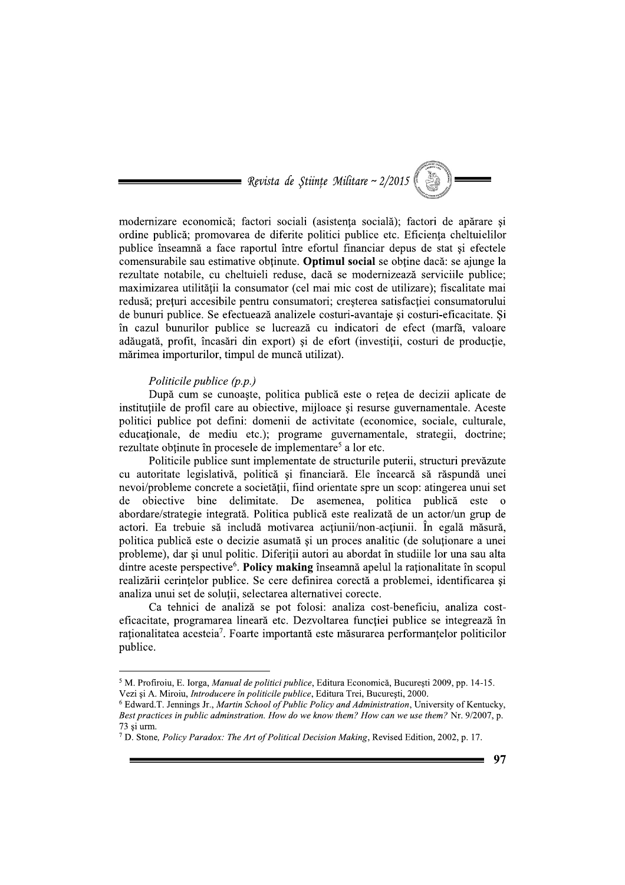= Revista de Stiințe Militare ~  $2/2015$ 

modernizare economică; factori sociali (asistența socială); factori de apărare și ordine publică; promovarea de diferite politici publice etc. Eficiența cheltuielilor publice înseamnă a face raportul între efortul financiar depus de stat si efectele comensurabile sau estimative obținute. Optimul social se obține dacă: se ajunge la rezultate notabile, cu cheltuieli reduse, dacă se modernizează serviciile publice; maximizarea utilității la consumator (cel mai mic cost de utilizare); fiscalitate mai redusă; prețuri accesibile pentru consumatori; creșterea satisfacției consumatorului de bunuri publice. Se efectuează analizele costuri-avantaje și costuri-eficacitate. Și în cazul bunurilor publice se lucrează cu indicatori de efect (marfă, valoare adăugată, profit, încasări din export) și de efort (investiții, costuri de producție, mărimea importurilor, timpul de muncă utilizat).

### Politicile publice  $(p.p.)$

După cum se cunoaște, politica publică este o rețea de decizii aplicate de instituțiile de profil care au obiective, mijloace și resurse guvernamentale. Aceste politici publice pot defini: domenii de activitate (economice, sociale, culturale, educaționale, de mediu etc.); programe guvernamentale, strategii, doctrine; rezultate obtinute în procesele de implementare<sup>5</sup> a lor etc.

Politicile publice sunt implementate de structurile puterii, structuri prevăzute cu autoritate legislativă, politică și financiară. Ele încearcă să răspundă unei nevoi/probleme concrete a societății, fiind orientate spre un scop: atingerea unui set de objective bine delimitate. De asemenea, politica publică este o abordare/strategie integrată. Politica publică este realizată de un actor/un grup de actori. Ea trebuie să includă motivarea acțiunii/non-acțiunii. În egală măsură, politica publică este o decizie asumată și un proces analitic (de soluționare a unei probleme), dar și unul politic. Diferiții autori au abordat în studiile lor una sau alta dintre aceste perspective<sup>6</sup>. Policy making înseamnă apelul la raționalitate în scopul realizării cerințelor publice. Se cere definirea corectă a problemei, identificarea și analiza unui set de solutii, selectarea alternativei corecte.

Ca tehnici de analiză se pot folosi: analiza cost-beneficiu, analiza costeficacitate, programarea lineară etc. Dezvoltarea funcției publice se integrează în rationalitatea acesteia<sup>7</sup>. Foarte importantă este măsurarea performantelor politicilor publice.

<sup>&</sup>lt;sup>5</sup> M. Profiroiu, E. Iorga, Manual de politici publice, Editura Economică, București 2009, pp. 14-15. Vezi și A. Miroiu, *Introducere în politicile publice*, Editura Trei, București, 2000.

<sup>&</sup>lt;sup>6</sup> Edward.T. Jennings Jr., Martin School of Public Policy and Administration, University of Kentucky, Best practices in public adminstration. How do we know them? How can we use them? Nr. 9/2007, p. 73 si urm.

<sup>&</sup>lt;sup>7</sup> D. Stone, *Policy Paradox: The Art of Political Decision Making*, Revised Edition, 2002, p. 17.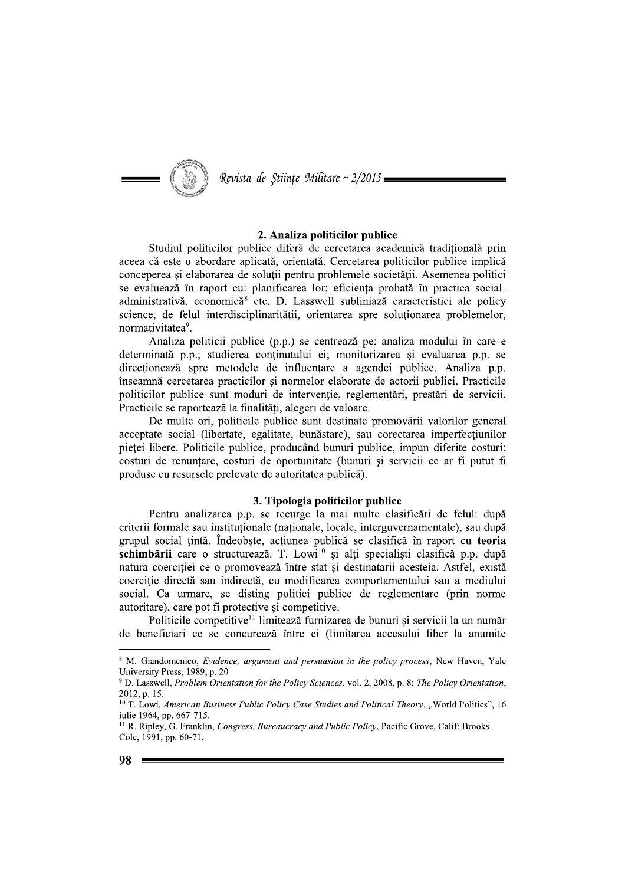

Revista de Științe Militare ~ 2/2015:

### 2. Analiza politicilor publice

Studiul politicilor publice diferă de cercetarea academică traditională prin aceea că este o abordare aplicată, orientată. Cercetarea politicilor publice implică conceperea si elaborarea de solutii pentru problemele societății. Asemenea politici se evaluează în raport cu: planificarea lor; eficiența probată în practica socialadministrativă, economică<sup>8</sup> etc. D. Lasswell subliniază caracteristici ale policy science, de felul interdisciplinarității, orientarea spre soluționarea problemelor, normativitatea<sup>9</sup>.

Analiza politicii publice (p.p.) se centrează pe: analiza modului în care e determinată p.p.; studierea conținutului ei; monitorizarea și evaluarea p.p. se directionează spre metodele de influențare a agendei publice. Analiza p.p. înseamnă cercetarea practicilor si normelor elaborate de actorii publici. Practicile politicilor publice sunt moduri de intervenție, reglementări, prestări de servicii. Practicile se raportează la finalități, alegeri de valoare.

De multe ori, politicile publice sunt destinate promovării valorilor general acceptate social (libertate, egalitate, bunăstare), sau corectarea imperfectiunilor pieței libere. Politicile publice, producând bunuri publice, impun diferite costuri: costuri de renunțare, costuri de oportunitate (bunuri și servicii ce ar fi putut fi produse cu resursele prelevate de autoritatea publică).

### 3. Tipologia politicilor publice

Pentru analizarea p.p. se recurge la mai multe clasificări de felul: după criterii formale sau instituționale (naționale, locale, interguvernamentale), sau după grupul social țintă. Îndeobște, acțiunea publică se clasifică în raport cu teoria schimbării care o structurează. T. Lowi<sup>10</sup> și alți specialiști clasifică p.p. după natura coerciției ce o promovează între stat și destinatarii acesteia. Astfel, există coerciție directă sau indirectă, cu modificarea comportamentului sau a mediului social. Ca urmare, se disting politici publice de reglementare (prin norme autoritare), care pot fi protective si competitive.

Politicile competitive<sup>11</sup> limitează furnizarea de bunuri și servicii la un număr de beneficiari ce se concurează între ei (limitarea accesului liber la anumite

<sup>&</sup>lt;sup>8</sup> M. Giandomenico, *Evidence*, argument and persuasion in the policy process, New Haven, Yale University Press, 1989, p. 20

<sup>&</sup>lt;sup>9</sup> D. Lasswell, Problem Orientation for the Policy Sciences, vol. 2, 2008, p. 8; The Policy Orientation, 2012, p. 15.

<sup>&</sup>lt;sup>10</sup> T. Lowi, American Business Public Policy Case Studies and Political Theory, "World Politics", 16 iulie 1964, pp. 667-715.

<sup>&</sup>lt;sup>11</sup> R. Ripley, G. Franklin, *Congress, Bureaucracy and Public Policy*, Pacific Grove, Calif: Brooks-Cole, 1991, pp. 60-71.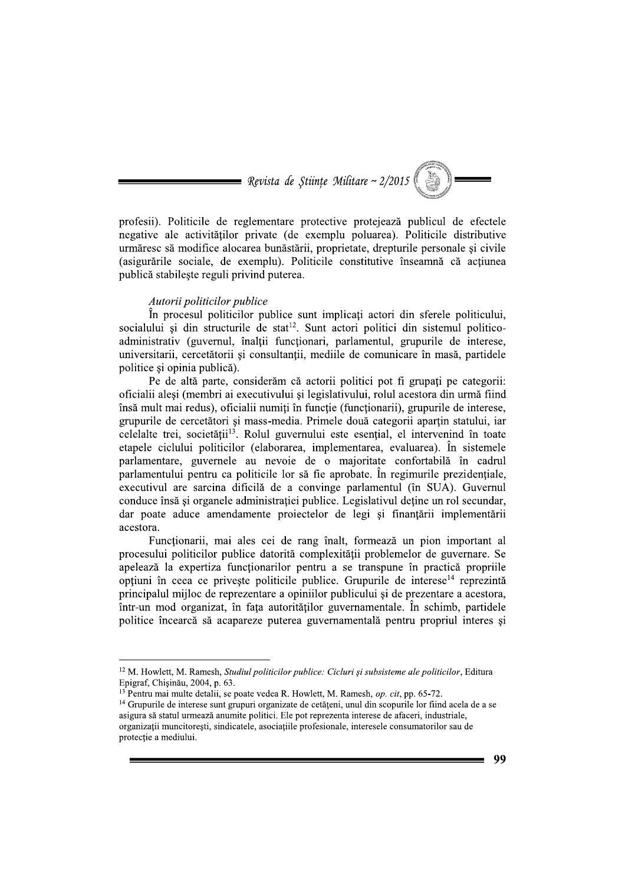

profesii). Politicile de reglementare protective protejează publicul de efectele negative ale activităților private (de exemplu poluarea). Politicile distributive urmăresc să modifice alocarea bunăstării, proprietate, drepturile personale și civile (asigurările sociale, de exemplu). Politicile constitutive înseamnă că actiunea publică stabileste reguli privind puterea.

#### Autorii politicilor publice

În procesul politicilor publice sunt implicați actori din sferele politicului. socialului și din structurile de stat<sup>12</sup>. Sunt actori politici din sistemul politicoadministrativ (guvernul, înalții funcționari, parlamentul, grupurile de interese, universitarii, cercetătorii și consultanții, mediile de comunicare în masă, partidele politice si opinia publică).

Pe de altă parte, considerăm că actorii politici pot fi grupati pe categorii: oficialii alesi (membri ai executivului si legislativului, rolul acestora din urmă fiind însă mult mai redus), oficialii numiti în functie (functionarii), grupurile de interese, grupurile de cercetători și mass-media. Primele două categorii apartin statului, iar celelalte trei, societății<sup>13</sup>. Rolul guvernului este esențial, el intervenind în toate etapele ciclului politicilor (elaborarea, implementarea, evaluarea). În sistemele parlamentare, guvernele au nevoie de o majoritate confortabilă în cadrul parlamentului pentru ca politicile lor să fie aprobate. În regimurile prezidențiale, executivul are sarcina dificilă de a convinge parlamentul (în SUA). Guvernul conduce însă și organele administratiei publice. Legislativul detine un rol secundar, dar poate aduce amendamente projectelor de legi și finanțării implementării acestora.

Funcționarii, mai ales cei de rang înalt, formează un pion important al procesului politicilor publice datorită complexității problemelor de guvernare. Se apelează la expertiza funcționarilor pentru a se transpune în practică propriile opțiuni în ceea ce privește politicile publice. Grupurile de interese<sup>14</sup> reprezintă principalul mijloc de reprezentare a opiniilor publicului și de prezentare a acestora, într-un mod organizat, în fața autorităților guvernamentale. În schimb, partidele politice încearcă să acapareze puterea guvernamentală pentru propriul interes si

<sup>&</sup>lt;sup>12</sup> M. Howlett, M. Ramesh, Studiul politicilor publice: Cicluri și subsisteme ale politicilor, Editura Epigraf, Chișinău, 2004, p. 63.

 $^{13}$  Pentru mai multe detalii, se poate vedea R. Howlett, M. Ramesh, *op. cit*, pp. 65-72.

<sup>&</sup>lt;sup>14</sup> Grupurile de interese sunt grupuri organizate de cetățeni, unul din scopurile lor fiind acela de a se asigura să statul urmează anumite politici. Ele pot reprezenta interese de afaceri, industriale, organizatii muncitoresti, sindicatele, asociatiile profesionale, interesele consumatorilor sau de protectie a mediului.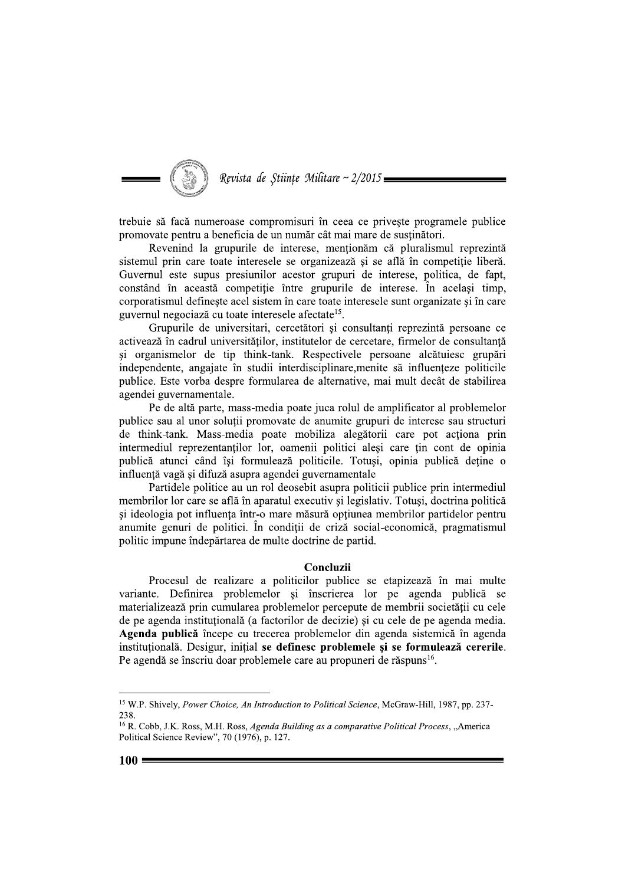

## Revista de Stiințe Militare ~ 2/2015

trebuie să facă numeroase compromisuri în ceea ce privește programele publice promovate pentru a beneficia de un număr cât mai mare de susținători.

Revenind la grupurile de interese, mentionăm că pluralismul reprezintă sistemul prin care toate interesele se organizează și se află în competiție liberă. Guvernul este supus presiunilor acestor grupuri de interese, politica, de fapt, constând în această competiție între grupurile de interese. În același timp, corporatismul defineste acel sistem în care toate interesele sunt organizate și în care guvernul negociază cu toate interesele afectate<sup>15</sup>.

Grupurile de universitari, cercetători și consultanți reprezintă persoane ce activează în cadrul universităților, institutelor de cercetare, firmelor de consultanță și organismelor de tip think-tank. Respectivele persoane alcătuiesc grupări independente, angajate în studii interdisciplinare, menite să influențeze politicile publice. Este vorba despre formularea de alternative, mai mult decât de stabilirea agendei guvernamentale.

Pe de altă parte, mass-media poate juca rolul de amplificator al problemelor publice sau al unor soluții promovate de anumite grupuri de interese sau structuri de think-tank. Mass-media poate mobiliza alegătorii care pot acționa prin intermediul reprezentanților lor, oamenii politici aleși care țin cont de opinia publică atunci când își formulează politicile. Totuși, opinia publică deține o influență vagă și difuză asupra agendei guvernamentale

Partidele politice au un rol deosebit asupra politicii publice prin intermediul membrilor lor care se află în aparatul executiv și legislativ. Totusi, doctrina politică si ideologia pot influenta într-o mare măsură optiunea membrilor partidelor pentru anumite genuri de politici. În condiții de criză social-economică, pragmatismul politic impune îndepărtarea de multe doctrine de partid.

#### Concluzii

Procesul de realizare a politicilor publice se etapizează în mai multe variante. Definirea problemelor și înscrierea lor pe agenda publică se materializează prin cumularea problemelor percepute de membrii societății cu cele de pe agenda instituțională (a factorilor de decizie) și cu cele de pe agenda media. Agenda publică începe cu trecerea problemelor din agenda sistemică în agenda instituțională. Desigur, inițial se definesc problemele și se formulează cererile. Pe agendă se înscriu doar problemele care au propuneri de răspuns<sup>16</sup>.

<sup>&</sup>lt;sup>15</sup> W.P. Shively, Power Choice, An Introduction to Political Science, McGraw-Hill, 1987, pp. 237-238.

<sup>&</sup>lt;sup>16</sup> R. Cobb, J.K. Ross, M.H. Ross, Agenda Building as a comparative Political Process, "America Political Science Review", 70 (1976), p. 127.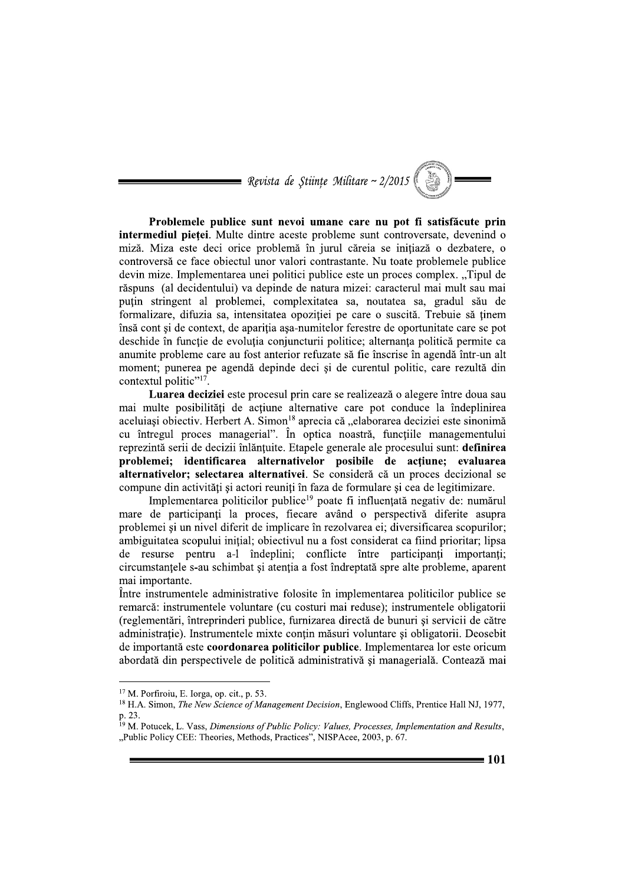= Revista de Stiințe Militare ~  $2/2015$ 

Problemele publice sunt nevoi umane care nu pot fi satisfăcute prin intermediul pietei. Multe dintre aceste probleme sunt controversate, devenind o miză. Miza este deci orice problemă în jurul căreia se initiază o dezbatere, o controversă ce face obiectul unor valori contrastante. Nu toate problemele publice devin mize. Implementarea unei politici publice este un proces complex. "Tipul de răspuns (al decidentului) va depinde de natura mizei: caracterul mai mult sau mai puțin stringent al problemei, complexitatea sa, noutatea sa, gradul său de formalizare, difuzia sa, intensitatea opoziției pe care o suscită. Trebuie să ținem însă cont și de context, de apariția așa-numitelor ferestre de oportunitate care se pot deschide în funcție de evoluția conjuncturii politice; alternanța politică permite ca anumite probleme care au fost anterior refuzate să fie înscrise în agendă într-un alt moment; punerea pe agendă depinde deci și de curentul politic, care rezultă din contextul politic"<sup>17</sup>.

Luarea deciziei este procesul prin care se realizează o alegere între doua sau mai multe posibilități de actiune alternative care pot conduce la îndeplinirea aceluiasi objectiv. Herbert A. Simon<sup>18</sup> aprecia că "elaborarea deciziei este sinonimă cu întregul proces managerial". În optica noastră, functiile managementului reprezintă serii de decizii înlănțuite. Etapele generale ale procesului sunt: definirea problemei; identificarea alternativelor posibile de acțiune; evaluarea alternativelor; selectarea alternativei. Se consideră că un proces decizional se compune din activități și actori reuniți în faza de formulare și cea de legitimizare.

Implementarea politicilor publice<sup>19</sup> poate fi influențată negativ de: numărul mare de participanti la proces, fiecare având o perspectivă diferite asupra problemei și un nivel diferit de implicare în rezolvarea ei; diversificarea scopurilor; ambiguitatea scopului inițial; obiectivul nu a fost considerat ca fiind prioritar; lipsa de resurse pentru a-l îndeplini; conflicte între participanți importanți; circumstanțele s-au schimbat și atenția a fost îndreptată spre alte probleme, aparent mai importante.

Între instrumentele administrative folosite în implementarea politicilor publice se remarcă: instrumentele voluntare (cu costuri mai reduse); instrumentele obligatorii (reglementări, întreprinderi publice, furnizarea directă de bunuri și servicii de către administratie). Instrumentele mixte contin măsuri voluntare și obligatorii. Deosebit de importantă este coordonarea politicilor publice. Implementarea lor este oricum abordată din perspectivele de politică administrativă și managerială. Contează mai

 $17$  M. Porfiroiu, E. Iorga, op. cit., p. 53.

<sup>&</sup>lt;sup>18</sup> H.A. Simon, *The New Science of Management Decision*, Englewood Cliffs, Prentice Hall NJ, 1977, p. 23.

<sup>&</sup>lt;sup>19</sup> M. Potucek, L. Vass, Dimensions of Public Policy: Values, Processes, Implementation and Results, "Public Policy CEE: Theories, Methods, Practices", NISPAcee, 2003, p. 67.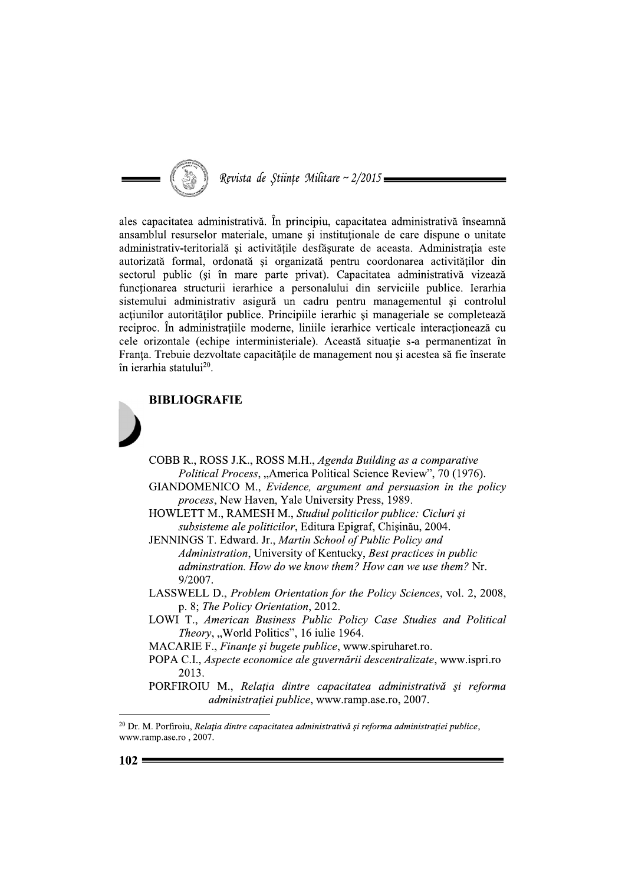

ales capacitatea administrativă. În principiu, capacitatea administrativă înseamnă ansamblul resurselor materiale, umane și instituționale de care dispune o unitate administrativ-teritorială și activitățile desfăsurate de aceasta. Administratia este autorizată formal, ordonată și organizată pentru coordonarea activităților din sectorul public (si în mare parte privat). Capacitatea administrativă vizează funcționarea structurii ierarhice a personalului din serviciile publice. Ierarhia sistemului administrativ asigură un cadru pentru managementul și controlul acțiunilor autorităților publice. Principiile ierarhic și manageriale se completează reciproc. În administrațiile moderne, liniile ierarhice verticale interacționează cu cele orizontale (echipe interministeriale). Această situație s-a permanentizat în Franta. Trebuie dezvoltate capacitățile de management nou și acestea să fie înserate în ierarhia statului<sup>20</sup>.





- COBB R., ROSS J.K., ROSS M.H., Agenda Building as a comparative Political Process, "America Political Science Review", 70 (1976).
- GIANDOMENICO M., Evidence, argument and persuasion in the policy process, New Haven, Yale University Press, 1989.
- HOWLETT M., RAMESH M., Studiul politicilor publice: Cicluri și subsisteme ale politicilor, Editura Epigraf, Chișinău, 2004.

JENNINGS T. Edward. Jr., Martin School of Public Policy and Administration, University of Kentucky, Best practices in public adminstration. How do we know them? How can we use them? Nr. 9/2007.

- LASSWELL D., Problem Orientation for the Policy Sciences, vol. 2, 2008, p. 8; The Policy Orientation, 2012.
- LOWI T., American Business Public Policy Case Studies and Political Theory, "World Politics", 16 iulie 1964.
- MACARIE F., Finanțe și bugete publice, www.spiruharet.ro.
- POPA C.I., Aspecte economice ale guvernării descentralizate, www.ispri.ro 2013.
- PORFIROIU M., Relația dintre capacitatea administrativă și reforma administrației publice, www.ramp.ase.ro, 2007.

 $^{20}$  Dr. M. Porfiroiu, Relația dintre capacitatea administrativă și reforma administrației publice, www.ramp.ase.ro, 2007.